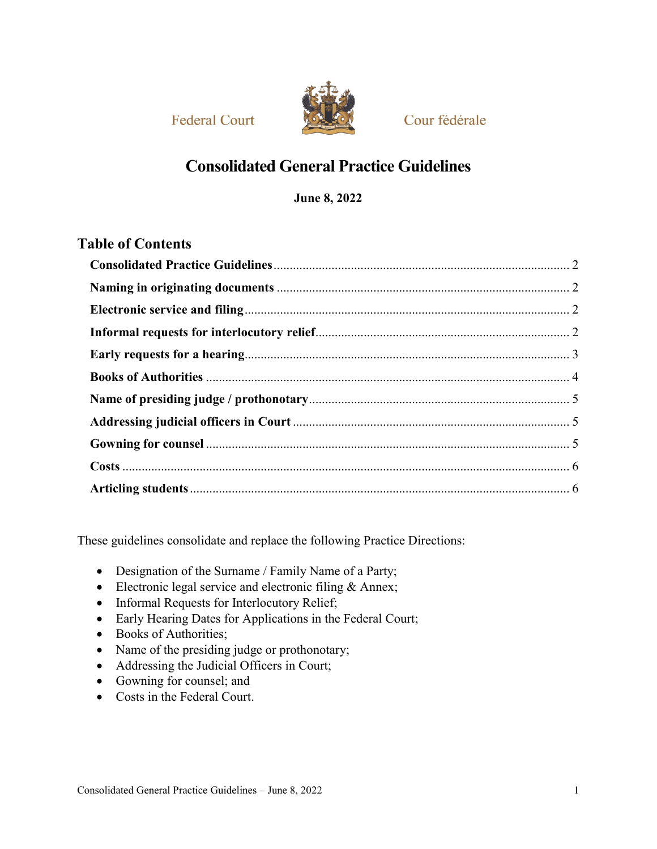**Federal Court** 



Cour fédérale

# **Consolidated General Practice Guidelines**

**June 8, 2022** 

## **Table of Contents**

These guidelines consolidate and replace the following Practice Directions:

- Designation of the Surname / Family Name of a Party;
- Electronic legal service and electronic filing & Annex;
- Informal Requests for Interlocutory Relief;
- Early Hearing Dates for Applications in the Federal Court;
- Books of Authorities;
- Name of the presiding judge or prothonotary;
- Addressing the Judicial Officers in Court;
- Gowning for counsel; and
- Costs in the Federal Court.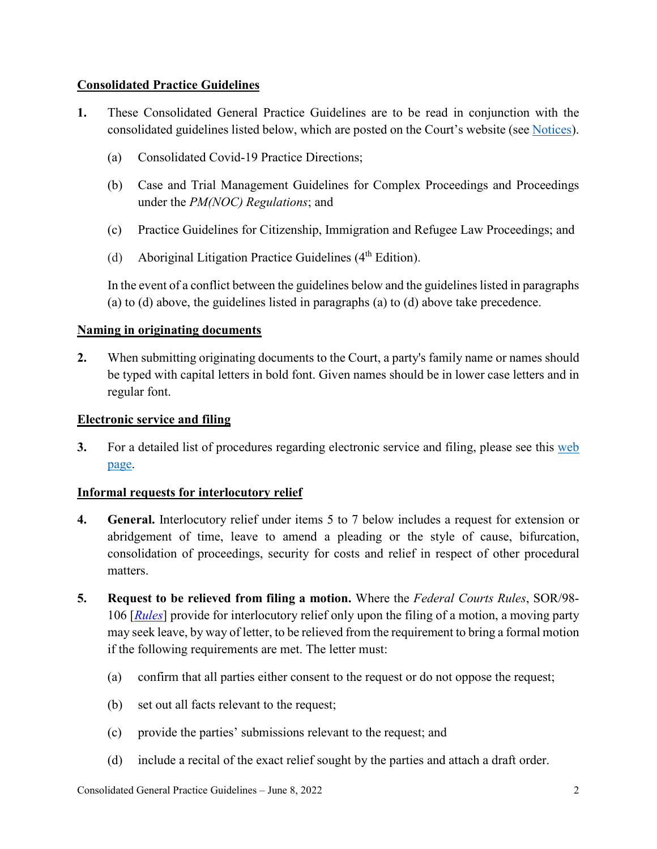## <span id="page-1-0"></span>**Consolidated Practice Guidelines**

- **1.** These Consolidated General Practice Guidelines are to be read in conjunction with the consolidated guidelines listed below, which are posted on the Court's website (see [Notices\)](https://www.fct-cf.gc.ca/en/pages/law-and-practice/notices).
	- (a) Consolidated Covid-19 Practice Directions;
	- (b) Case and Trial Management Guidelines for Complex Proceedings and Proceedings under the *PM(NOC) Regulations*; and
	- (c) Practice Guidelines for Citizenship, Immigration and Refugee Law Proceedings; and
	- (d) Aboriginal Litigation Practice Guidelines  $(4<sup>th</sup> Edition)$ .

In the event of a conflict between the guidelines below and the guidelines listed in paragraphs (a) to (d) above, the guidelines listed in paragraphs (a) to (d) above take precedence.

## <span id="page-1-1"></span>**Naming in originating documents**

**2.** When submitting originating documents to the Court, a party's family name or names should be typed with capital letters in bold font. Given names should be in lower case letters and in regular font.

## <span id="page-1-2"></span>**Electronic service and filing**

**3.** For a detailed list of procedures regarding electronic service and filing, please see this [web](https://www.fct-cf.gc.ca/en/pages/online-access/e-filing)  [page.](https://www.fct-cf.gc.ca/en/pages/online-access/e-filing)

### <span id="page-1-3"></span>**Informal requests for interlocutory relief**

- **4. General.** Interlocutory relief under items 5 to 7 below includes a request for extension or abridgement of time, leave to amend a pleading or the style of cause, bifurcation, consolidation of proceedings, security for costs and relief in respect of other procedural matters.
- **5. Request to be relieved from filing a motion.** Where the *Federal Courts Rules*, SOR/98- 106 [*[Rules](https://laws-lois.justice.gc.ca/eng/regulations/sor-98-106/)*] provide for interlocutory relief only upon the filing of a motion, a moving party may seek leave, by way of letter, to be relieved from the requirement to bring a formal motion if the following requirements are met. The letter must:
	- (a) confirm that all parties either consent to the request or do not oppose the request;
	- (b) set out all facts relevant to the request;
	- (c) provide the parties' submissions relevant to the request; and
	- (d) include a recital of the exact relief sought by the parties and attach a draft order.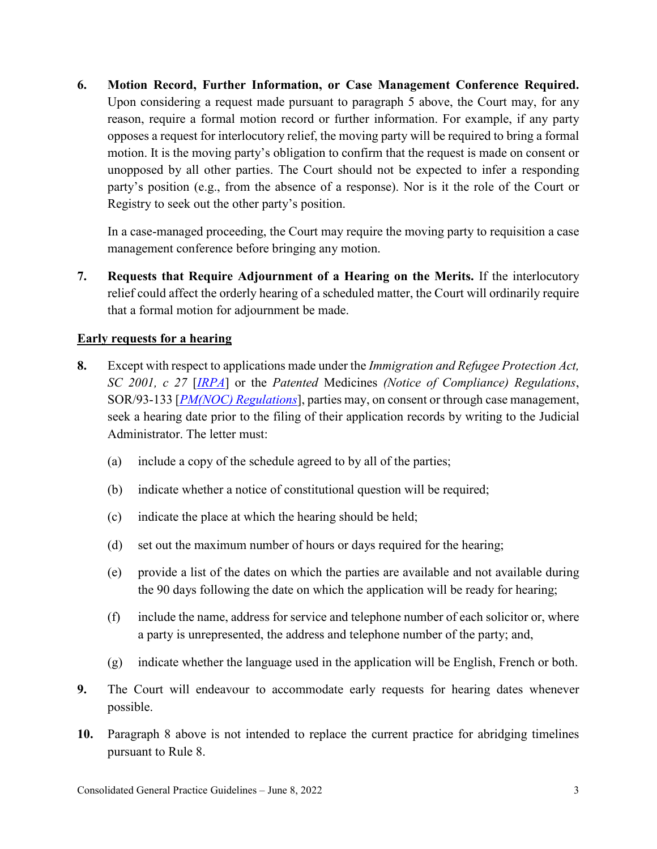**6. Motion Record, Further Information, or Case Management Conference Required.** Upon considering a request made pursuant to paragraph 5 above, the Court may, for any reason, require a formal motion record or further information. For example, if any party opposes a request for interlocutory relief, the moving party will be required to bring a formal motion. It is the moving party's obligation to confirm that the request is made on consent or unopposed by all other parties. The Court should not be expected to infer a responding party's position (e.g., from the absence of a response). Nor is it the role of the Court or Registry to seek out the other party's position.

In a case-managed proceeding, the Court may require the moving party to requisition a case management conference before bringing any motion.

**7. Requests that Require Adjournment of a Hearing on the Merits.** If the interlocutory relief could affect the orderly hearing of a scheduled matter, the Court will ordinarily require that a formal motion for adjournment be made.

## <span id="page-2-0"></span>**Early requests for a hearing**

- <span id="page-2-1"></span>**8.** Except with respect to applications made under the *Immigration and Refugee Protection Act, SC 2001, c 27* [*[IRPA](https://laws.justice.gc.ca/eng/acts/i-2.5/)*] or the *Patented* Medicines *(Notice of Compliance) Regulations*, SOR/93-133 [*[PM\(NOC\) Regulations](https://laws-lois.justice.gc.ca/eng/regulations/sor-93-133/FullText.html)*], parties may, on consent or through case management, seek a hearing date prior to the filing of their application records by writing to the Judicial Administrator. The letter must:
	- (a) include a copy of the schedule agreed to by all of the parties;
	- (b) indicate whether a notice of constitutional question will be required;
	- (c) indicate the place at which the hearing should be held;
	- (d) set out the maximum number of hours or days required for the hearing;
	- (e) provide a list of the dates on which the parties are available and not available during the 90 days following the date on which the application will be ready for hearing;
	- (f) include the name, address for service and telephone number of each solicitor or, where a party is unrepresented, the address and telephone number of the party; and,
	- (g) indicate whether the language used in the application will be English, French or both.
- **9.** The Court will endeavour to accommodate early requests for hearing dates whenever possible.
- **10.** Paragraph [8](#page-2-1) above is not intended to replace the current practice for abridging timelines pursuant to Rule 8.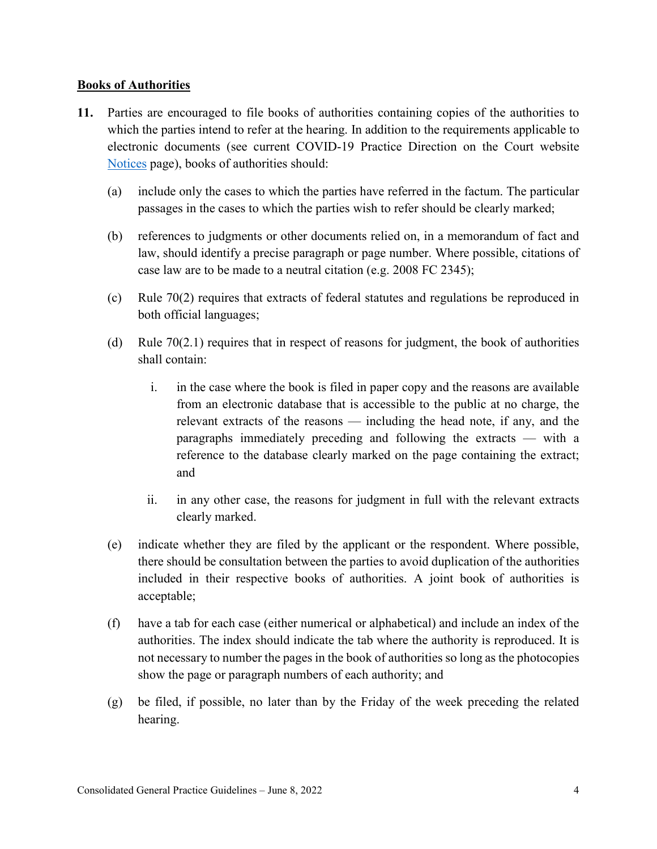#### <span id="page-3-0"></span>**Books of Authorities**

- **11.** Parties are encouraged to file books of authorities containing copies of the authorities to which the parties intend to refer at the hearing. In addition to the requirements applicable to electronic documents (see current COVID-19 Practice Direction on the Court website [Notices](https://www.fct-cf.gc.ca/en/pages/law-and-practice/notices) page), books of authorities should:
	- (a) include only the cases to which the parties have referred in the factum. The particular passages in the cases to which the parties wish to refer should be clearly marked;
	- (b) references to judgments or other documents relied on, in a memorandum of fact and law, should identify a precise paragraph or page number. Where possible, citations of case law are to be made to a neutral citation (e.g. 2008 FC 2345);
	- (c) Rule 70(2) requires that extracts of federal statutes and regulations be reproduced in both official languages;
	- (d) Rule  $70(2.1)$  requires that in respect of reasons for judgment, the book of authorities shall contain:
		- i. in the case where the book is filed in paper copy and the reasons are available from an electronic database that is accessible to the public at no charge, the relevant extracts of the reasons — including the head note, if any, and the paragraphs immediately preceding and following the extracts — with a reference to the database clearly marked on the page containing the extract; and
		- ii. in any other case, the reasons for judgment in full with the relevant extracts clearly marked.
	- (e) indicate whether they are filed by the applicant or the respondent. Where possible, there should be consultation between the parties to avoid duplication of the authorities included in their respective books of authorities. A joint book of authorities is acceptable;
	- (f) have a tab for each case (either numerical or alphabetical) and include an index of the authorities. The index should indicate the tab where the authority is reproduced. It is not necessary to number the pages in the book of authorities so long as the photocopies show the page or paragraph numbers of each authority; and
	- (g) be filed, if possible, no later than by the Friday of the week preceding the related hearing.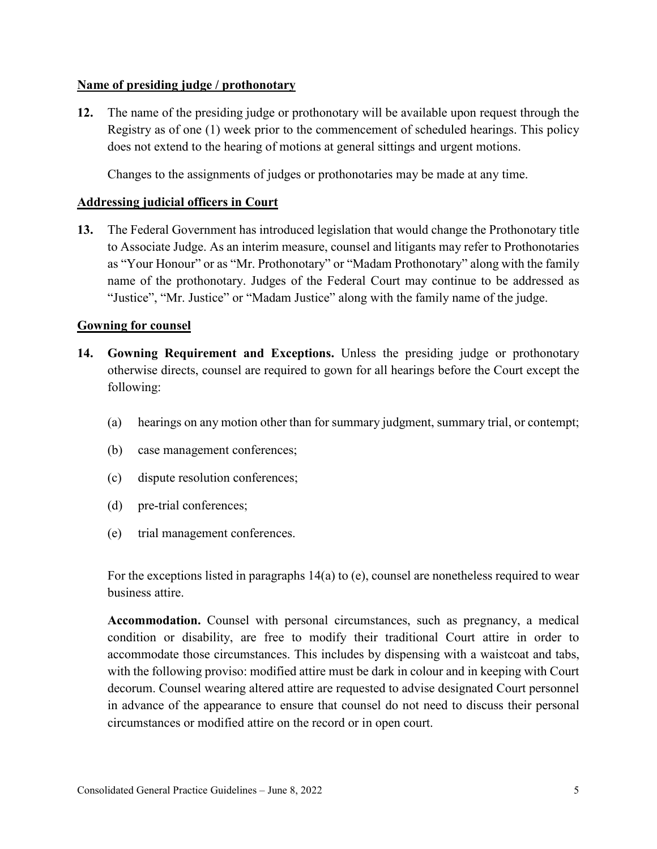#### <span id="page-4-0"></span>**Name of presiding judge / prothonotary**

**12.** The name of the presiding judge or prothonotary will be available upon request through the Registry as of one (1) week prior to the commencement of scheduled hearings. This policy does not extend to the hearing of motions at general sittings and urgent motions.

Changes to the assignments of judges or prothonotaries may be made at any time.

#### <span id="page-4-1"></span>**Addressing judicial officers in Court**

**13.** The Federal Government has introduced legislation that would change the Prothonotary title to Associate Judge. As an interim measure, counsel and litigants may refer to Prothonotaries as "Your Honour" or as "Mr. Prothonotary" or "Madam Prothonotary" along with the family name of the prothonotary. Judges of the Federal Court may continue to be addressed as "Justice", "Mr. Justice" or "Madam Justice" along with the family name of the judge.

#### <span id="page-4-2"></span>**Gowning for counsel**

- **14. Gowning Requirement and Exceptions.** Unless the presiding judge or prothonotary otherwise directs, counsel are required to gown for all hearings before the Court except the following:
	- (a) hearings on any motion other than for summary judgment, summary trial, or contempt;
	- (b) case management conferences;
	- (c) dispute resolution conferences;
	- (d) pre-trial conferences;
	- (e) trial management conferences.

For the exceptions listed in paragraphs 14(a) to (e), counsel are nonetheless required to wear business attire.

**Accommodation.** Counsel with personal circumstances, such as pregnancy, a medical condition or disability, are free to modify their traditional Court attire in order to accommodate those circumstances. This includes by dispensing with a waistcoat and tabs, with the following proviso: modified attire must be dark in colour and in keeping with Court decorum. Counsel wearing altered attire are requested to advise designated Court personnel in advance of the appearance to ensure that counsel do not need to discuss their personal circumstances or modified attire on the record or in open court.